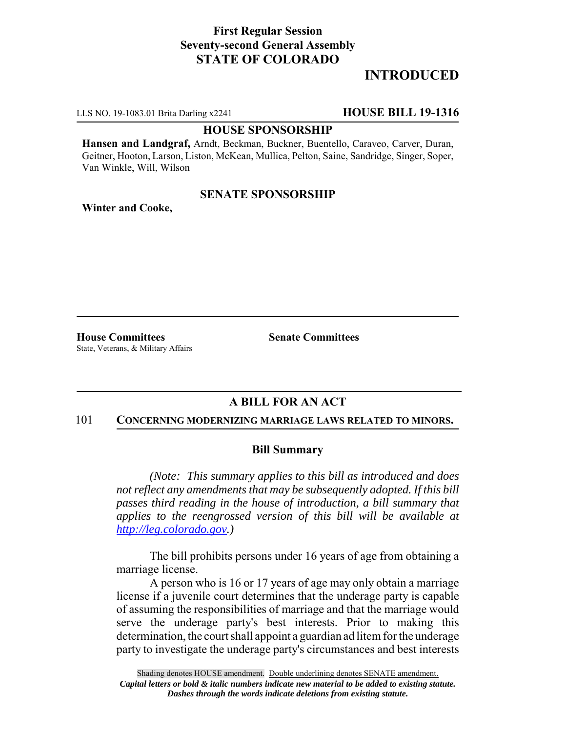## **First Regular Session Seventy-second General Assembly STATE OF COLORADO**

# **INTRODUCED**

LLS NO. 19-1083.01 Brita Darling x2241 **HOUSE BILL 19-1316**

#### **HOUSE SPONSORSHIP**

**Hansen and Landgraf,** Arndt, Beckman, Buckner, Buentello, Caraveo, Carver, Duran, Geitner, Hooton, Larson, Liston, McKean, Mullica, Pelton, Saine, Sandridge, Singer, Soper, Van Winkle, Will, Wilson

## **SENATE SPONSORSHIP**

**Winter and Cooke,**

**House Committees Senate Committees** State, Veterans, & Military Affairs

# **A BILL FOR AN ACT**

#### 101 **CONCERNING MODERNIZING MARRIAGE LAWS RELATED TO MINORS.**

### **Bill Summary**

*(Note: This summary applies to this bill as introduced and does not reflect any amendments that may be subsequently adopted. If this bill passes third reading in the house of introduction, a bill summary that applies to the reengrossed version of this bill will be available at http://leg.colorado.gov.)*

The bill prohibits persons under 16 years of age from obtaining a marriage license.

A person who is 16 or 17 years of age may only obtain a marriage license if a juvenile court determines that the underage party is capable of assuming the responsibilities of marriage and that the marriage would serve the underage party's best interests. Prior to making this determination, the court shall appoint a guardian ad litem for the underage party to investigate the underage party's circumstances and best interests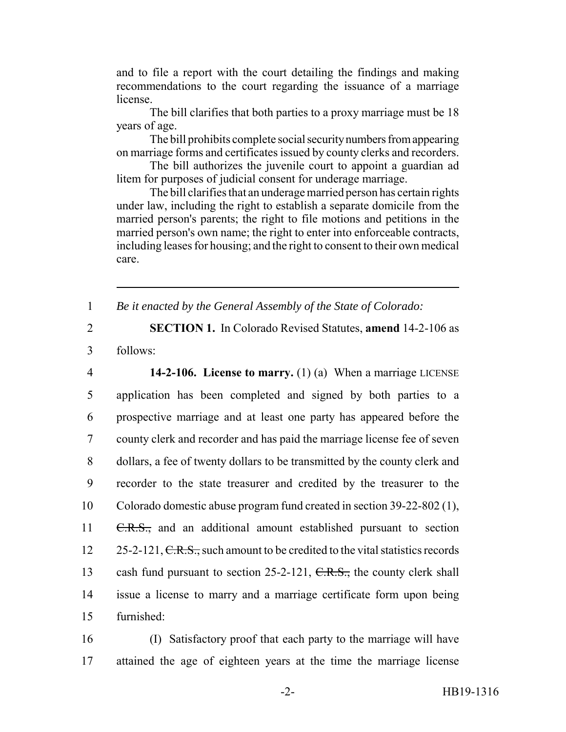and to file a report with the court detailing the findings and making recommendations to the court regarding the issuance of a marriage license.

The bill clarifies that both parties to a proxy marriage must be 18 years of age.

The bill prohibits complete social security numbers from appearing on marriage forms and certificates issued by county clerks and recorders.

The bill authorizes the juvenile court to appoint a guardian ad litem for purposes of judicial consent for underage marriage.

The bill clarifies that an underage married person has certain rights under law, including the right to establish a separate domicile from the married person's parents; the right to file motions and petitions in the married person's own name; the right to enter into enforceable contracts, including leases for housing; and the right to consent to their own medical care.

1 *Be it enacted by the General Assembly of the State of Colorado:*

2 **SECTION 1.** In Colorado Revised Statutes, **amend** 14-2-106 as 3 follows:

 **14-2-106. License to marry.** (1) (a) When a marriage LICENSE application has been completed and signed by both parties to a prospective marriage and at least one party has appeared before the county clerk and recorder and has paid the marriage license fee of seven dollars, a fee of twenty dollars to be transmitted by the county clerk and recorder to the state treasurer and credited by the treasurer to the Colorado domestic abuse program fund created in section 39-22-802 (1), 11 C.R.S., and an additional amount established pursuant to section  $25-2-121$ , C.R.S., such amount to be credited to the vital statistics records 13 cash fund pursuant to section 25-2-121, C.R.S., the county clerk shall issue a license to marry and a marriage certificate form upon being furnished:

16 (I) Satisfactory proof that each party to the marriage will have 17 attained the age of eighteen years at the time the marriage license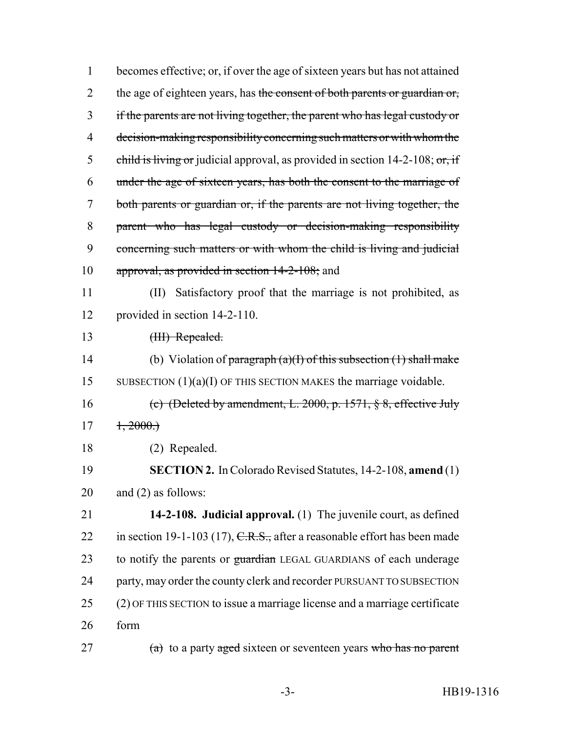| $\mathbf{1}$ | becomes effective; or, if over the age of sixteen years but has not attained     |
|--------------|----------------------------------------------------------------------------------|
| 2            | the age of eighteen years, has the consent of both parents or guardian or,       |
| 3            | if the parents are not living together, the parent who has legal custody or      |
| 4            | decision-making responsibility concerning such matters or with whom the          |
| 5            | child is living or judicial approval, as provided in section $14-2-108$ ; or, if |
| 6            | under the age of sixteen years, has both the consent to the marriage of          |
| 7            | both parents or guardian or, if the parents are not living together, the         |
| 8            | parent who has legal custody or decision-making responsibility                   |
| 9            | concerning such matters or with whom the child is living and judicial            |
| 10           | approval, as provided in section 14-2-108; and                                   |
| 11           | Satisfactory proof that the marriage is not prohibited, as<br>(II)               |
| 12           | provided in section 14-2-110.                                                    |
| 13           | (HI) Repealed.                                                                   |
| 14           | (b) Violation of paragraph $(a)(1)$ of this subsection $(1)$ shall make          |
| 15           | SUBSECTION $(1)(a)(I)$ OF THIS SECTION MAKES the marriage voidable.              |
| 16           | (c) (Deleted by amendment, L. 2000, p. 1571, $\S$ 8, effective July              |
| 17           | $\pm 2000.$                                                                      |
| 18           | (2) Repealed.                                                                    |
| 19           | SECTION 2. In Colorado Revised Statutes, 14-2-108, amend (1)                     |
| 20           | and $(2)$ as follows:                                                            |
| 21           | 14-2-108. Judicial approval. (1) The juvenile court, as defined                  |
| 22           | in section 19-1-103 (17), $C.R.S.,$ after a reasonable effort has been made      |
| 23           | to notify the parents or guardian LEGAL GUARDIANS of each underage               |
| 24           | party, may order the county clerk and recorder PURSUANT TO SUBSECTION            |
| 25           | (2) OF THIS SECTION to issue a marriage license and a marriage certificate       |
| 26           | form                                                                             |
| 27           | $(a)$ to a party aged sixteen or seventeen years who has no parent               |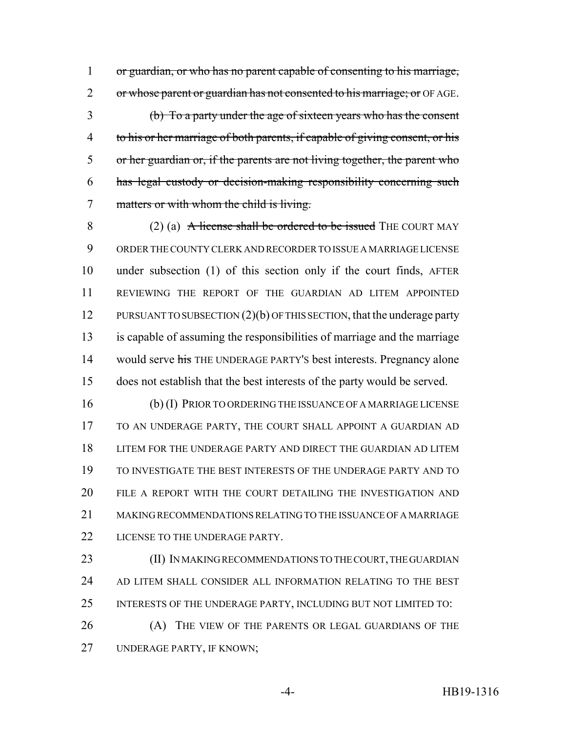1 or guardian, or who has no parent capable of consenting to his marriage, 2 or whose parent or guardian has not consented to his marriage; or OF AGE.

 (b) To a party under the age of sixteen years who has the consent 4 to his or her marriage of both parents, if capable of giving consent, or his or her guardian or, if the parents are not living together, the parent who has legal custody or decision-making responsibility concerning such matters or with whom the child is living.

8 (2) (a) A license shall be ordered to be issued THE COURT MAY ORDER THE COUNTY CLERK AND RECORDER TO ISSUE A MARRIAGE LICENSE under subsection (1) of this section only if the court finds, AFTER REVIEWING THE REPORT OF THE GUARDIAN AD LITEM APPOINTED 12 PURSUANT TO SUBSECTION (2)(b) OF THIS SECTION, that the underage party is capable of assuming the responsibilities of marriage and the marriage 14 would serve his THE UNDERAGE PARTY's best interests. Pregnancy alone does not establish that the best interests of the party would be served.

 (b) (I) PRIOR TO ORDERING THE ISSUANCE OF A MARRIAGE LICENSE TO AN UNDERAGE PARTY, THE COURT SHALL APPOINT A GUARDIAN AD LITEM FOR THE UNDERAGE PARTY AND DIRECT THE GUARDIAN AD LITEM TO INVESTIGATE THE BEST INTERESTS OF THE UNDERAGE PARTY AND TO FILE A REPORT WITH THE COURT DETAILING THE INVESTIGATION AND MAKING RECOMMENDATIONS RELATING TO THE ISSUANCE OF A MARRIAGE 22 LICENSE TO THE UNDERAGE PARTY.

23 (II) IN MAKING RECOMMENDATIONS TO THE COURT, THE GUARDIAN AD LITEM SHALL CONSIDER ALL INFORMATION RELATING TO THE BEST INTERESTS OF THE UNDERAGE PARTY, INCLUDING BUT NOT LIMITED TO:

26 (A) THE VIEW OF THE PARENTS OR LEGAL GUARDIANS OF THE UNDERAGE PARTY, IF KNOWN;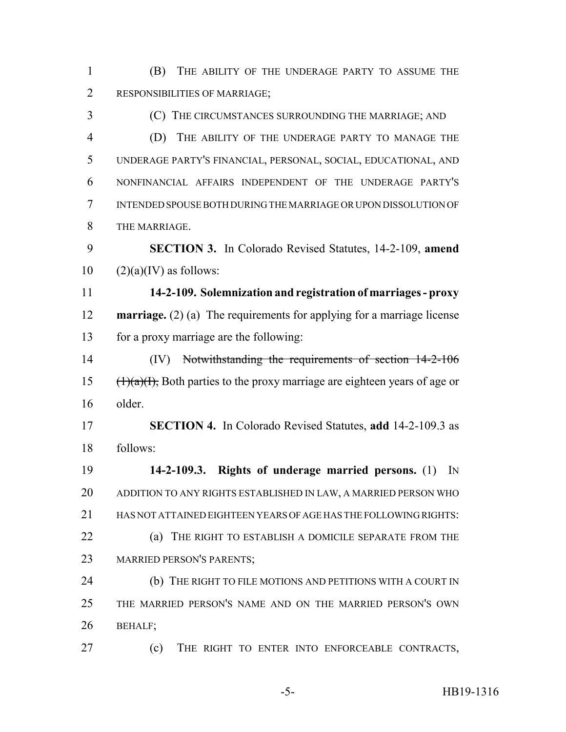(B) THE ABILITY OF THE UNDERAGE PARTY TO ASSUME THE RESPONSIBILITIES OF MARRIAGE;

 (C) THE CIRCUMSTANCES SURROUNDING THE MARRIAGE; AND (D) THE ABILITY OF THE UNDERAGE PARTY TO MANAGE THE UNDERAGE PARTY'S FINANCIAL, PERSONAL, SOCIAL, EDUCATIONAL, AND NONFINANCIAL AFFAIRS INDEPENDENT OF THE UNDERAGE PARTY'S INTENDED SPOUSE BOTH DURING THE MARRIAGE OR UPON DISSOLUTION OF THE MARRIAGE.

 **SECTION 3.** In Colorado Revised Statutes, 14-2-109, **amend**  $10 \qquad (2)(a)(IV)$  as follows:

 **14-2-109. Solemnization and registration of marriages - proxy marriage.** (2) (a) The requirements for applying for a marriage license for a proxy marriage are the following:

 (IV) Notwithstanding the requirements of section 14-2-106 15  $(\frac{1}{a})(\frac{1}{a})(\frac{1}{b})$ , Both parties to the proxy marriage are eighteen years of age or older.

 **SECTION 4.** In Colorado Revised Statutes, **add** 14-2-109.3 as follows:

 **14-2-109.3. Rights of underage married persons.** (1) IN ADDITION TO ANY RIGHTS ESTABLISHED IN LAW, A MARRIED PERSON WHO HAS NOT ATTAINED EIGHTEEN YEARS OF AGE HAS THE FOLLOWING RIGHTS: **(a)** THE RIGHT TO ESTABLISH A DOMICILE SEPARATE FROM THE MARRIED PERSON'S PARENTS;

**(b)** THE RIGHT TO FILE MOTIONS AND PETITIONS WITH A COURT IN THE MARRIED PERSON'S NAME AND ON THE MARRIED PERSON'S OWN BEHALF;

(c) THE RIGHT TO ENTER INTO ENFORCEABLE CONTRACTS,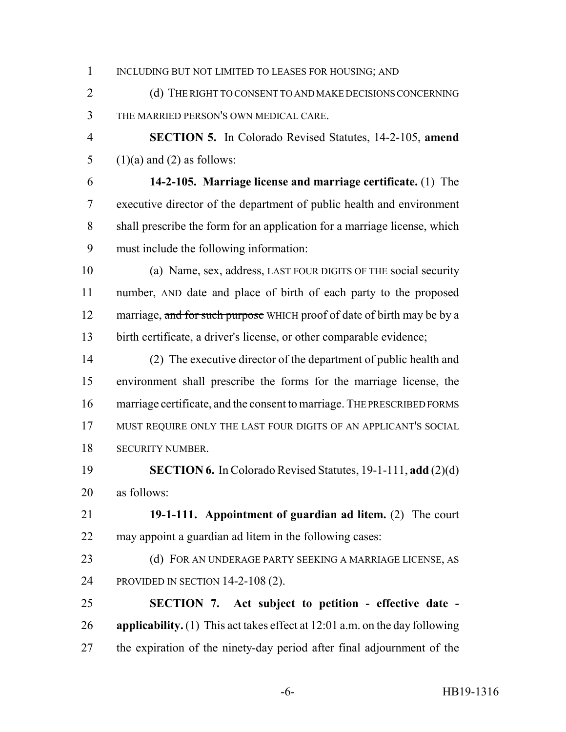1 INCLUDING BUT NOT LIMITED TO LEASES FOR HOUSING; AND

2 (d) THE RIGHT TO CONSENT TO AND MAKE DECISIONS CONCERNING THE MARRIED PERSON'S OWN MEDICAL CARE.

 **SECTION 5.** In Colorado Revised Statutes, 14-2-105, **amend** 5 (1)(a) and (2) as follows:

 **14-2-105. Marriage license and marriage certificate.** (1) The executive director of the department of public health and environment shall prescribe the form for an application for a marriage license, which must include the following information:

 (a) Name, sex, address, LAST FOUR DIGITS OF THE social security number, AND date and place of birth of each party to the proposed 12 marriage, and for such purpose WHICH proof of date of birth may be by a birth certificate, a driver's license, or other comparable evidence;

 (2) The executive director of the department of public health and environment shall prescribe the forms for the marriage license, the marriage certificate, and the consent to marriage. THE PRESCRIBED FORMS MUST REQUIRE ONLY THE LAST FOUR DIGITS OF AN APPLICANT'S SOCIAL SECURITY NUMBER.

 **SECTION 6.** In Colorado Revised Statutes, 19-1-111, **add** (2)(d) as follows:

 **19-1-111. Appointment of guardian ad litem.** (2) The court may appoint a guardian ad litem in the following cases:

23 (d) FOR AN UNDERAGE PARTY SEEKING A MARRIAGE LICENSE, AS PROVIDED IN SECTION 14-2-108 (2).

 **SECTION 7. Act subject to petition - effective date - applicability.** (1) This act takes effect at 12:01 a.m. on the day following the expiration of the ninety-day period after final adjournment of the